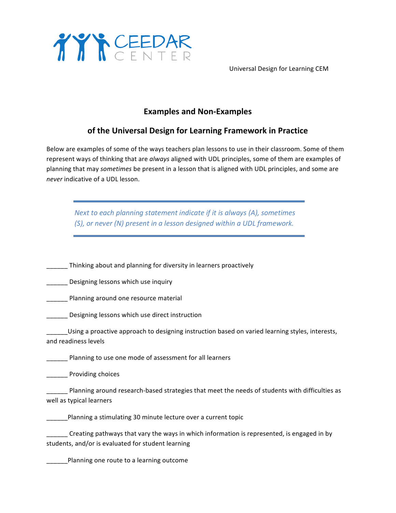

Universal Design for Learning CEM

## **Examples and Non-Examples**

## **of the Universal Design for Learning Framework in Practice**

Below are examples of some of the ways teachers plan lessons to use in their classroom. Some of them represent ways of thinking that are always aligned with UDL principles, some of them are examples of planning that may *sometimes* be present in a lesson that is aligned with UDL principles, and some are *never* indicative of a UDL lesson.

*Next to each planning statement indicate if it is always (A), sometimes (S), or never (N) present in a lesson designed within a UDL framework.* 

If thinking about and planning for diversity in learners proactively

Designing lessons which use inquiry

\_\_\_\_\_ Planning around one resource material

\_\_\_\_\_ Designing lessons which use direct instruction

\_\_\_\_\_\_Using a proactive approach to designing instruction based on varied learning styles, interests, and readiness levels

**EXECUTE:** Planning to use one mode of assessment for all learners

**Example 25 Providing choices** 

Planning around research-based strategies that meet the needs of students with difficulties as well as typical learners

planning a stimulating 30 minute lecture over a current topic

\_\_\_\_\_\_ Creating pathways that vary the ways in which information is represented, is engaged in by students, and/or is evaluated for student learning

\_\_\_\_\_\_Planning one route to a learning outcome